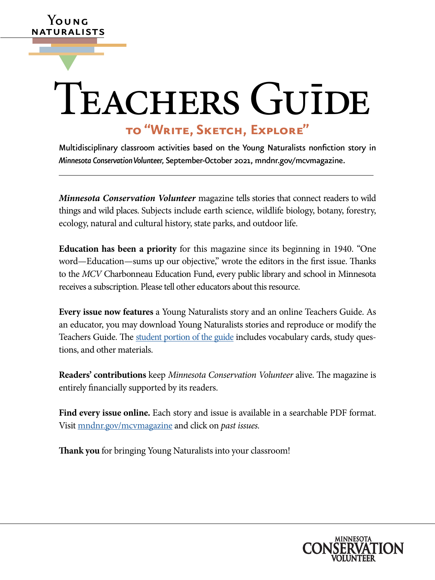# TEACHERS GUIDE

**Y**oung naturalists

▼

# **to "Write, Sketch, Explore"**

Multidisciplinary classroom activities based on the Young Naturalists nonfiction story in *Minnesota Conservation Volunteer,* September-October 2021, [mndnr.gov/mcvmagazine.](http://www.dnr.state.mn.us/mcvmagazine/index.html)

*Minnesota Conservation Volunteer* magazine tells stories that connect readers to wild things and wild places. Subjects include earth science, wildlife biology, botany, forestry, ecology, natural and cultural history, state parks, and outdoor life.

**Education has been a priority** for this magazine since its beginning in 1940. "One word—Education—sums up our objective," wrote the editors in the first issue. Thanks to the *MCV* Charbonneau Education Fund, every public library and school in Minnesota receives a subscription. Please tell other educators about this resource.

**Every issue now features** a Young Naturalists story and an online Teachers Guide. As an educator, you may download Young Naturalists stories and reproduce or modify the Teachers Guide. The [student portion of the guide](https://www.dnr.state.mn.us/mcvmagazine/young-naturalists.html) includes vocabulary cards, study questions, and other materials.

**Readers' contributions** keep *Minnesota Conservation Volunteer* alive. The magazine is entirely financially supported by its readers.

**Find every issue online.** Each story and issue is available in a searchable PDF format. Visit [mndnr.gov/mcvmagazine](http://www.mndnr.gov/mcvmagazine) and click on *past issues.*

**Thank you** for bringing Young Naturalists into your classroom!

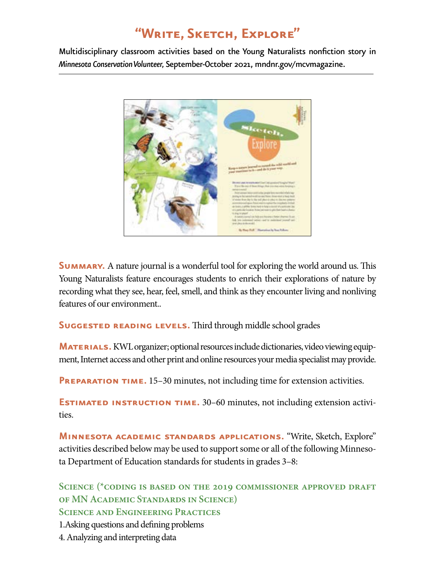# **"Write, Sketch, Explore"**

Multidisciplinary classroom activities based on the Young Naturalists nonfiction story in *Minnesota Conservation Volunteer,* September-October 2021, [mndnr.gov/mcvmagazine.](http://www.mndnr.gov/mcvmagazine)



**SUMMARY.** A nature journal is a wonderful tool for exploring the world around us. This Young Naturalists feature encourages students to enrich their explorations of nature by recording what they see, hear, feel, smell, and think as they encounter living and nonliving features of our environment..

**SUGGESTED READING LEVELS.** Third through middle school grades

**MATERIALS.** KWL organizer; optional resources include dictionaries, video viewing equipment, Internet access and other print and online resources your media specialist may provide.

**PREPARATION TIME.** 15–30 minutes, not including time for extension activities.

**ESTIMATED INSTRUCTION TIME.** 30–60 minutes, not including extension activities.

**Minnesota academic standards applications.** "Write, Sketch, Explore" activities described below may be used to support some or all of the following Minnesota Department of Education standards for students in grades 3–8:

**Science (\*coding is based on the 2019 commissioner approved draft of MN Academic Standards in Science) Science and Engineering Practices**

1.Asking questions and defining problems

4. Analyzing and interpreting data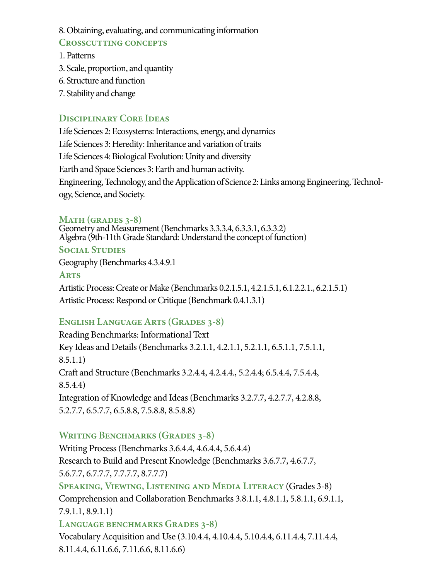8. Obtaining, evaluating, and communicating information

### **Crosscutting concepts**

- 1. Patterns
- 3. Scale, proportion, and quantity
- 6. Structure and function
- 7. Stability and change

# **Disciplinary Core Ideas**

Life Sciences 2: Ecosystems: Interactions, energy, and dynamics Life Sciences 3: Heredity: Inheritance and variation of traits Life Sciences 4: Biological Evolution: Unity and diversity Earth and Space Sciences 3: Earth and human activity. Engineering, Technology, and the Application of Science 2: Links among Engineering, Technology, Science, and Society.

## **Math (grades 3-8)**

Geometry and Measurement (Benchmarks 3.3.3.4, 6.3.3.1, 6.3.3.2) Algebra (9th-11th Grade Standard: Understand the concept of function) **Social Studies**

Geography (Benchmarks 4.3.4.9.1

**Arts**

Artistic Process: Create or Make (Benchmarks 0.2.1.5.1, 4.2.1.5.1, 6.1.2.2.1., 6.2.1.5.1) Artistic Process: Respond or Critique (Benchmark 0.4.1.3.1)

# **English Language Arts (Grades 3-8)**

Reading Benchmarks: Informational Text Key Ideas and Details (Benchmarks 3.2.1.1, 4.2.1.1, 5.2.1.1, 6.5.1.1, 7.5.1.1, 8.5.1.1) Craft and Structure (Benchmarks 3.2.4.4, 4.2.4.4., 5.2.4.4; 6.5.4.4, 7.5.4.4, 8.5.4.4) Integration of Knowledge and Ideas (Benchmarks 3.2.7.7, 4.2.7.7, 4.2.8.8, 5.2.7.7, 6.5.7.7, 6.5.8.8, 7.5.8.8, 8.5.8.8)

# WRITING BENCHMARKS (GRADES 3-8)

Writing Process (Benchmarks 3.6.4.4, 4.6.4.4, 5.6.4.4) Research to Build and Present Knowledge (Benchmarks 3.6.7.7, 4.6.7.7, 5.6.7.7, 6.7.7.7, 7.7.7.7, 8.7.7.7) **Speaking, Viewing, Listening and Media Literacy** (Grades 3-8) Comprehension and Collaboration Benchmarks 3.8.1.1, 4.8.1.1, 5.8.1.1, 6.9.1.1, 7.9.1.1, 8.9.1.1) **Language benchmarks Grades 3-8)** Vocabulary Acquisition and Use (3.10.4.4, 4.10.4.4, 5.10.4.4, 6.11.4.4, 7.11.4.4,

```
8.11.4.4, 6.11.6.6, 7.11.6.6, 8.11.6.6)
```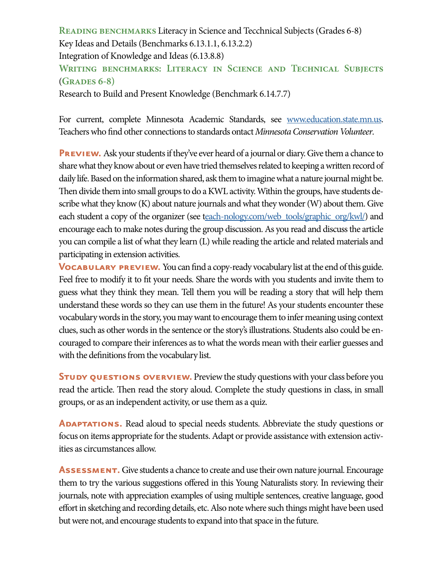**Reading benchmarks** Literacy in Science and Tecchnical Subjects (Grades 6-8) Key Ideas and Details (Benchmarks 6.13.1.1, 6.13.2.2) Integration of Knowledge and Ideas (6.13.8.8) **Writing benchmarks: Literacy in Science and Technical Subjects**  (**Grades 6-8)** 

Research to Build and Present Knowledge (Benchmark 6.14.7.7)

For current, complete Minnesota Academic Standards, see [www.education.state.mn.us.](https://education.mn.gov/mde/index.html) Teachers who find other connections to standards ontact *Minnesota Conservation Volunteer*.

**PREVIEW.** Ask your students if they've ever heard of a journal or diary. Give them a chance to share what they know about or even have tried themselves related to keeping a written record of daily life. Based on the information shared, ask them to imagine what a nature journal might be. Then divide them into small groups to do a KWL activity. Within the groups, have students describe what they know (K) about nature journals and what they wonder (W) about them. Give each student a copy of the organizer (see [teach-nology.com/web\\_tools/graphic\\_org/kwl/](http://each-nology.com/web_tools/graphic_org/kwl/)) and encourage each to make notes during the group discussion. As you read and discuss the article you can compile a list of what they learn (L) while reading the article and related materials and participating in extension activities.

**VOCABULARY PREVIEW.** You can find a copy-ready vocabulary list at the end of this guide. Feel free to modify it to fit your needs. Share the words with you students and invite them to guess what they think they mean. Tell them you will be reading a story that will help them understand these words so they can use them in the future! As your students encounter these vocabulary words in the story, you may want to encourage them to infer meaning using context clues, such as other words in the sentence or the story's illustrations. Students also could be encouraged to compare their inferences as to what the words mean with their earlier guesses and with the definitions from the vocabulary list.

**STUDY QUESTIONS OVERVIEW.** Preview the study questions with your class before you read the article. Then read the story aloud. Complete the study questions in class, in small groups, or as an independent activity, or use them as a quiz.

**ADAPTATIONS.** Read aloud to special needs students. Abbreviate the study questions or focus on items appropriate for the students. Adapt or provide assistance with extension activities as circumstances allow.

**ASSESSMENT.** Give students a chance to create and use their own nature journal. Encourage them to try the various suggestions offered in this Young Naturalists story. In reviewing their journals, note with appreciation examples of using multiple sentences, creative language, good effort in sketching and recording details, etc. Also note where such things might have been used but were not, and encourage students to expand into that space in the future.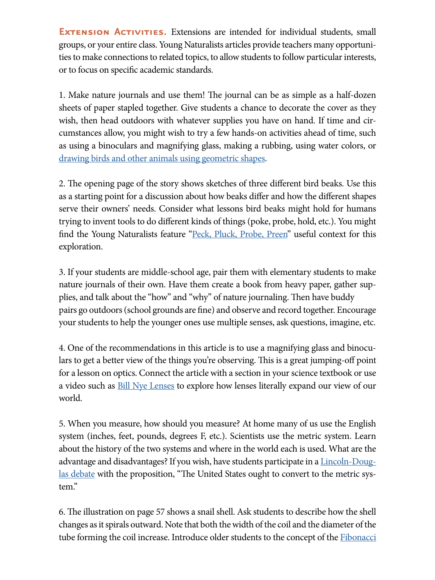**EXTENSION ACTIVITIES.** Extensions are intended for individual students, small groups, or your entire class. Young Naturalists articles provide teachers many opportunities to make connections to related topics, to allow students to follow particular interests, or to focus on specific academic standards.

1. Make nature journals and use them! The journal can be as simple as a half-dozen sheets of paper stapled together. Give students a chance to decorate the cover as they wish, then head outdoors with whatever supplies you have on hand. If time and circumstances allow, you might wish to try a few hands-on activities ahead of time, such as using a binoculars and magnifying glass, making a rubbing, using water colors, or [drawing birds and other animals using geometric shapes.](https://sidexsideme.com/video_tutorial/how-to-draw-an-animal-using-shapes/)

2. The opening page of the story shows sketches of three different bird beaks. Use this as a starting point for a discussion about how beaks differ and how the different shapes serve their owners' needs. Consider what lessons bird beaks might hold for humans trying to invent tools to do different kinds of things (poke, probe, hold, etc.). You might find the Young Naturalists feature ["Peck, Pluck, Probe, Preen](https://www.dnr.state.mn.us/mcvmagazine/issues/2019/jul-aug/bird-beaks.html)" useful context for this exploration.

3. If your students are middle-school age, pair them with elementary students to make nature journals of their own. Have them create a book from heavy paper, gather supplies, and talk about the "how" and "why" of nature journaling. Then have buddy pairs go outdoors (school grounds are fine) and observe and record together. Encourage your students to help the younger ones use multiple senses, ask questions, imagine, etc.

4. One of the recommendations in this article is to use a magnifying glass and binoculars to get a better view of the things you're observing. This is a great jumping-off point for a lesson on optics. Connect the article with a section in your science textbook or use a video such as [Bill Nye Lenses](https://www.youtube.com/watch?v=MvUIsetjVck) to explore how lenses literally expand our view of our world.

5. When you measure, how should you measure? At home many of us use the English system (inches, feet, pounds, degrees F, etc.). Scientists use the metric system. Learn about the history of the two systems and where in the world each is used. What are the advantage and disadvantages? If you wish, have students participate in a <u>Lincoln-Doug-</u> [las debate](https://www.whitman.edu/Documents/Academics/Debate/WNDI_LD_Starter_Kit_2014_v2.pdf) with the proposition, "The United States ought to convert to the metric system."

6. The illustration on page 57 shows a snail shell. Ask students to describe how the shell changes as it spirals outward. Note that both the width of the coil and the diameter of the tube forming the coil increase. Introduce older students to the concept of the **Fibonacci**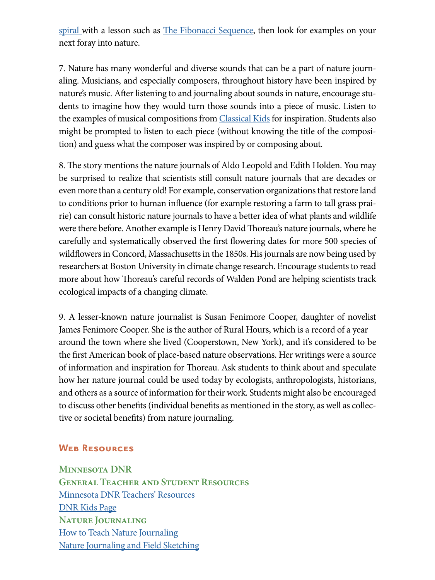[spiral w](https://www.scienceworld.ca/stories/patterns-nature-where-spot-spirals/)ith a lesson such as **The Fibonacci Sequence**, then look for examples on your next foray into nature.

7. Nature has many wonderful and diverse sounds that can be a part of nature journaling. Musicians, and especially composers, throughout history have been inspired by nature's music. After listening to and journaling about sounds in nature, encourage students to imagine how they would turn those sounds into a piece of music. Listen to the examples of musical compositions from **Classical Kids** for inspiration. Students also might be prompted to listen to each piece (without knowing the title of the composition) and guess what the composer was inspired by or composing about.

8. The story mentions the nature journals of Aldo Leopold and Edith Holden. You may be surprised to realize that scientists still consult nature journals that are decades or even more than a century old! For example, conservation organizations that restore land to conditions prior to human influence (for example restoring a farm to tall grass prairie) can consult historic nature journals to have a better idea of what plants and wildlife were there before. Another example is Henry David Thoreau's nature journals, where he carefully and systematically observed the first flowering dates for more 500 species of wildflowers in Concord, Massachusetts in the 1850s. His journals are now being used by researchers at Boston University in climate change research. Encourage students to read more about how Thoreau's careful records of Walden Pond are helping scientists track ecological impacts of a changing climate.

9. A lesser-known nature journalist is Susan Fenimore Cooper, daughter of novelist James Fenimore Cooper. She is the author of Rural Hours, which is a record of a year around the town where she lived (Cooperstown, New York), and it's considered to be the first American book of place-based nature observations. Her writings were a source of information and inspiration for Thoreau. Ask students to think about and speculate how her nature journal could be used today by ecologists, anthropologists, historians, and others as a source of information for their work. Students might also be encouraged to discuss other benefits (individual benefits as mentioned in the story, as well as collective or societal benefits) from nature journaling.

#### **Web Resources**

**Minnesota DNR General Teacher and Student Resources** [Minnesota DNR Teachers' Resources](http://www.dnr.state.mn.us/education/teachers/index.html) [DNR Kids Page](http://www.dnr.state.mn.us/dnrkids/index.html) **Nature Journaling** How to Teach Nature Journaling Nature Journaling and Field Sketching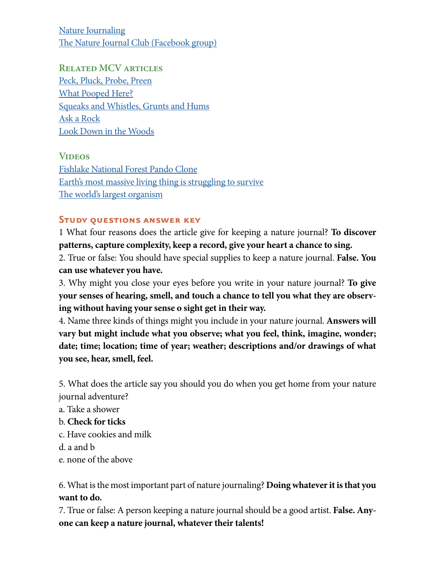**Nature Journaling** The Nature Journal Club (Facebook group)

**Related MCV articles** Peck, Pluck, Probe, Preen What Pooped Here? Squeaks and Whistles, Grunts and Hums Ask a Rock Look Down in the Woods

**Videos** Fishlake National Forest Pando Clone Earth's most massive living thing is struggling to survive The world's largest organism

#### **Study questions answer key**

1 What four reasons does the article give for keeping a nature journal? **To discover patterns, capture complexity, keep a record, give your heart a chance to sing.**

2. True or false: You should have special supplies to keep a nature journal. **False. You can use whatever you have.** 

3. Why might you close your eyes before you write in your nature journal? **To give your senses of hearing, smell, and touch a chance to tell you what they are observing without having your sense o sight get in their way.**

4. Name three kinds of things might you include in your nature journal. **Answers will vary but might include what you observe; what you feel, think, imagine, wonder; date; time; location; time of year; weather; descriptions and/or drawings of what you see, hear, smell, feel.** 

5. What does the article say you should you do when you get home from your nature journal adventure?

a. Take a shower

- b. **Check for ticks**
- c. Have cookies and milk

d. a and b

e. none of the above

6. What is the most important part of nature journaling? **Doing whatever it is that you want to do.** 

7. True or false: A person keeping a nature journal should be a good artist. **False. Anyone can keep a nature journal, whatever their talents!**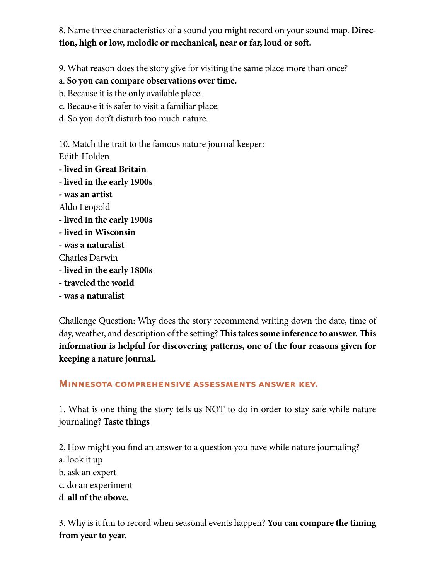8. Name three characteristics of a sound you might record on your sound map. **Direction, high or low, melodic or mechanical, near or far, loud or soft.**

9. What reason does the story give for visiting the same place more than once?

- a. **So you can compare observations over time.**
- b. Because it is the only available place.
- c. Because it is safer to visit a familiar place.
- d. So you don't disturb too much nature.

10. Match the trait to the famous nature journal keeper: Edith Holden

- **lived in Great Britain**
- **lived in the early 1900s**
- **was an artist**
- Aldo Leopold
- **lived in the early 1900s**
- **lived in Wisconsin**
- **was a naturalist**
- Charles Darwin
- **lived in the early 1800s**
- **traveled the world**
- **was a naturalist**

Challenge Question: Why does the story recommend writing down the date, time of day, weather, and description of the setting? **This takes some inference to answer. This information is helpful for discovering patterns, one of the four reasons given for keeping a nature journal.**

#### **Minnesota comprehensive assessments answer key.**

1. What is one thing the story tells us NOT to do in order to stay safe while nature journaling? **Taste things**

2. How might you find an answer to a question you have while nature journaling?

- a. look it up
- b. ask an expert
- c. do an experiment
- d. **all of the above.**

3. Why is it fun to record when seasonal events happen? **You can compare the timing from year to year.**